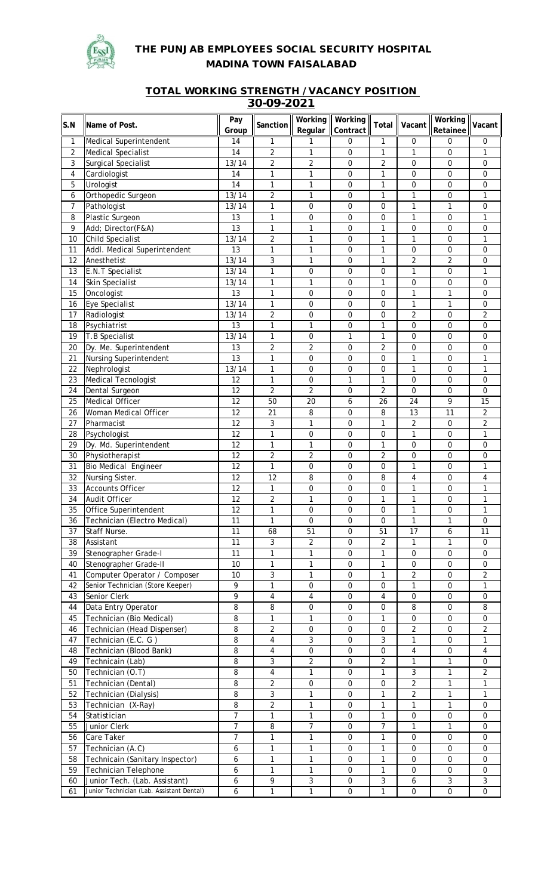

## **THE PUNJAB EMPLOYEES SOCIAL SECURITY HOSPITAL MADINA TOWN FAISALABAD**

## **TOTAL WORKING STRENGTH / VACANCY POSITION 30-09-2021**

|                |                                           | Pay             |                 | Working                 | Working          |                  |                  | <b>Working</b>   |                |
|----------------|-------------------------------------------|-----------------|-----------------|-------------------------|------------------|------------------|------------------|------------------|----------------|
| S.N            | <b>Name of Post.</b>                      |                 | <b>Sanction</b> | Regular                 | Contract         | Total            | Vacant           |                  | Vacant         |
|                |                                           | Group           |                 |                         |                  |                  |                  | Retainee         |                |
| 1              | Medical Superintendent                    | 14              | 1               | 1                       | $\pmb{0}$        | 1                | $\Omega$         | 0                | 0              |
| $\overline{2}$ | <b>Medical Specialist</b>                 | 14              | $\overline{c}$  | $\mathbf{1}$            | $\mathbf 0$      | $\mathbf{1}$     | 1                | 0                | 1              |
| 3              | Surgical Specialist                       | 13/14           | 2               | $\sqrt{2}$              | 0                | $\overline{2}$   | $\mathbf{0}$     | 0                | $\mathbf 0$    |
| 4              | Cardiologist                              | 14              | 1               | $\mathbf{1}$            | $\mathbf 0$      | $\mathbf{1}$     | $\mathbf 0$      | $\mathbf 0$      | $\mathbf 0$    |
| 5              | Urologist                                 | 14              | 1               | $\mathbf{1}$            | $\mathbf 0$      | $\mathbf{1}$     | $\mathbf 0$      | 0                | 0              |
| 6              | Orthopedic Surgeon                        | 13/14           | $\overline{2}$  | $\mathbf{1}$            | $\mathbf 0$      | $\mathbf{1}$     | $\mathbf{1}$     | 0                | $\mathbf{1}$   |
| 7              | Pathologist                               | 13/14           | 1               | $\boldsymbol{0}$        | $\mathbf 0$      | 0                | $\mathbf{1}$     | 1                | $\mathbf 0$    |
| 8              | Plastic Surgeon                           | 13              | 1               | $\boldsymbol{0}$        | $\mathbf 0$      | 0                | $\mathbf{1}$     | 0                | $\mathbf{1}$   |
| 9              | Add; Director(F&A)                        | 13              | 1               | $\mathbf{1}$            | $\mathbf 0$      | $\mathbf{1}$     | $\mathbf{0}$     | 0                | $\mathbf 0$    |
| 10             | Child Specialist                          | 13/14           | $\overline{c}$  | $\mathbf{1}$            | $\mathbf 0$      | $\mathbf{1}$     | 1                | 0                | 1              |
| 11             | Addl. Medical Superintendent              | 13              | 1               | $\mathbf{1}$            | 0                | 1                | $\mathbf{0}$     | 0                | $\mathbf 0$    |
| 12             | Anesthetist                               | 13/14           | 3               | $\mathbf{1}$            | 0                | $\mathbf{1}$     | $\overline{2}$   | 2                | 0              |
| 13             | E.N.T Specialist                          | 13/14           | 1               | $\mathbf 0$             | 0                | $\mathbf 0$      | $\mathbf{1}$     | 0                | 1              |
| 14             | Skin Specialist                           | 13/14           | 1               | $\mathbf{1}$            | 0                | $\mathbf{1}$     | $\mathbf 0$      | 0                | 0              |
| 15             |                                           | 13              | 1               |                         | 0                |                  | 1                | 1                | 0              |
|                | Oncologist                                |                 |                 | 0                       |                  | 0                |                  |                  |                |
| 16             | Eye Specialist                            | 13/14           | 1               | $\boldsymbol{0}$        | 0                | 0                | $\mathbf{1}$     | 1                | 0              |
| 17             | Radiologist                               | 13/14           | $\overline{2}$  | $\mathbf 0$             | 0                | 0                | $\overline{2}$   | 0                | $\overline{2}$ |
| 18             | Psychiatrist                              | 13              | 1               | $\mathbf{1}$            | 0                | $\mathbf{1}$     | $\mathbf 0$      | 0                | 0              |
| 19             | T.B Specialist                            | 13/14           | 1               | $\boldsymbol{0}$        | 1                | $\mathbf{1}$     | 0                | 0                | 0              |
| 20             | Dy. Me. Superintendent                    | 13              | $\overline{2}$  | $\overline{2}$          | $\mathbf 0$      | $\overline{2}$   | $\mathbf 0$      | 0                | 0              |
| 21             | <b>Nursing Superintendent</b>             | 13              | $\mathbf 1$     | $\mathbf 0$             | $\mathbf 0$      | 0                | $\mathbf{1}$     | 0                | $\mathbf{1}$   |
| 22             | Nephrologist                              | 13/14           | 1               | $\mathbf 0$             | 0                | 0                | $\mathbf{1}$     | 0                | $\mathbf{1}$   |
| 23             | Medical Tecnologist                       | 12              | $\mathbf{1}$    | $\mathbf 0$             | 1                | $\mathbf{1}$     | $\mathbf 0$      | 0                | 0              |
| 24             | Dental Surgeon                            | 12              | $\overline{2}$  | $\overline{2}$          | 0                | $\overline{2}$   | $\Omega$         | 0                | $\Omega$       |
| 25             | Medical Officer                           | 12              | 50              | 20                      | 6                | 26               | 24               | 9                | 15             |
| 26             | Woman Medical Officer                     | 12              | 21              | 8                       | 0                | 8                | 13               | 11               | 2              |
| 27             | Pharmacist                                | $\overline{12}$ | 3               | $\mathbf{1}$            | $\mathbf 0$      | $\mathbf{1}$     | $\overline{2}$   | 0                | $\overline{2}$ |
| 28             | Psychologist                              | $\overline{12}$ | $\overline{1}$  | $\mathbf 0$             | $\mathbf 0$      | $\mathbf 0$      | $\mathbf{1}$     | 0                | $\mathbf{1}$   |
|                |                                           |                 |                 |                         |                  |                  |                  |                  |                |
| 29             | Dy. Md. Superintendent                    | 12              | $\mathbf{1}$    | $\mathbf{1}$            | $\mathbf 0$      | $\mathbf{1}$     | $\mathbf 0$      | 0                | 0              |
| 30             | Physiotherapist                           | 12              | $\overline{2}$  | $\sqrt{2}$              | $\mathbf 0$      | $\overline{2}$   | $\boldsymbol{0}$ | 0                | 0              |
| 31             | <b>Bio Medical Engineer</b>               | 12              | 1               | $\mathbf 0$             | 0                | $\mathbf 0$      | 1                | 0                | 1              |
| 32             | Nursing Sister.                           | 12              | 12              | 8                       | $\mathbf 0$      | 8                | 4                | $\mathbf 0$      | 4              |
| 33             | <b>Accounts Officer</b>                   | 12              | 1               | $\boldsymbol{0}$        | $\mathbf 0$      | $\mathbf 0$      | 1                | $\mathbf 0$      | $\mathbf{1}$   |
| 34             | Audit Officer                             | 12              | $\overline{c}$  | $\mathbf{1}$            | 0                | $\mathbf{1}$     | $\mathbf{1}$     | 0                | $\mathbf{1}$   |
| 35             | Office Superintendent                     | 12              |                 | 0                       | 0                | 0                | 1                | 0                | 1              |
| 36             | Technician (Electro Medical)              | 11              | 1               | $\mathbf 0$             | $\mathbf 0$      | 0                | $\mathbf{1}$     | 1                | $\Omega$       |
| 37             | Staff Nurse.                              | 11              | 68              | 51                      | $\mathbf 0$      | 51               | 17               | 6                | 11             |
| 38             | Assistant                                 | 11              | 3               | $\overline{2}$          | $\pmb{0}$        | 2                | 1                | 1                | 0              |
| 39             | Stenographer Grade-I                      | 11              | 1               | 1                       | $\mathbf 0$      | $\mathbf{1}$     | $\mathbf{0}$     | 0                | $\mathbf 0$    |
| 40             | Stenographer Grade-II                     | 10              | 1               | 1                       | 0                | $\mathbf{1}$     | $\mathbf 0$      | 0                | $\mathbf 0$    |
| 41             | Computer Operator / Composer              | 10              | 3               | $\mathbf{1}$            | 0                | 1                | 2                | 0                | $\overline{2}$ |
| 42             | Senior Technician (Store Keeper)          | 9               | 1               | $\boldsymbol{0}$        | 0                | $\mathbf 0$      | 1                | 0                | 1              |
|                | Senior Clerk                              |                 |                 |                         |                  |                  |                  |                  |                |
| 43             |                                           | 9               | $\overline{4}$  | $\overline{\mathbf{4}}$ | $\boldsymbol{0}$ | $\overline{4}$   | $\boldsymbol{0}$ | 0                | $\mathbf 0$    |
| 44             | Data Entry Operator                       | 8               | 8               | 0                       | $\boldsymbol{0}$ | 0                | 8                | 0                | 8              |
| 45             | Technician (Bio Medical)                  | 8               | 1               | $\mathbf{1}$            | 0                | $\mathbf{1}$     | $\mathbf 0$      | 0                | $\mathbf 0$    |
| 46             | Technician (Head Dispenser)               | 8               | $\overline{c}$  | $\pmb{0}$               | $\mathbf 0$      | $\boldsymbol{0}$ | $\overline{a}$   | 0                | $\overline{2}$ |
| 47             | Technician (E.C. G)                       | 8               | $\overline{4}$  | $\mathbf{3}$            | 0                | 3                | 1                | 0                | 1              |
| 48             | Technician (Blood Bank)                   | 8               | $\overline{4}$  | 0                       | 0                | $\boldsymbol{0}$ | 4                | 0                | $\overline{4}$ |
| 49             | Technicain (Lab)                          | 8               | 3               | $\sqrt{2}$              | $\mathbf 0$      | $\overline{2}$   | $\mathbf{1}$     | 1                | $\mathbf 0$    |
| 50             | Technician (O.T)                          | 8               | 4               | $\mathbf{1}$            | 0                | $\mathbf{1}$     | 3                | $\mathbf{1}$     | $\overline{2}$ |
| 51             | Technician (Dental)                       | 8               | $\overline{2}$  | $\mathbf 0$             | $\mathbf 0$      | $\mathbf 0$      | $\overline{2}$   | 1                | $\mathbf{1}$   |
| 52             | Technician (Dialysis)                     | 8               | $\mathbf{3}$    | $\mathbf{1}$            | $\mathbf 0$      | $\mathbf{1}$     | $\overline{2}$   | 1                | $\mathbf{1}$   |
| 53             | Technician (X-Ray)                        | 8               | $\overline{2}$  | $\mathbf{1}$            | $\mathbf 0$      | $\mathbf{1}$     | $\mathbf{1}$     | $\mathbf{1}$     | $\mathbf 0$    |
| 54             | Statistician                              | $\overline{7}$  | 1               | $\mathbf{1}$            | 0                | $\mathbf{1}$     | $\mathbf 0$      | 0                | $\mathbf 0$    |
| 55             |                                           | $\overline{7}$  | 8               | $\overline{7}$          | 0                | $\overline{7}$   | $\mathbf{1}$     | 1                | $\mathbf 0$    |
|                | Junior Clerk                              |                 |                 |                         |                  |                  |                  |                  |                |
| 56             | Care Taker                                | $\overline{7}$  | 1               | $\mathbf{1}$            | 0                | $\mathbf{1}$     | $\mathbf 0$      | 0                | $\mathbf 0$    |
| 57             | Technician (A.C)                          | 6               | 1               | $\mathbf{1}$            | $\mathbf 0$      | $\mathbf{1}$     | $\mathbf 0$      | 0                | $\mathbf 0$    |
| 58             | Technicain (Sanitary Inspector)           | 6               | 1               | $\mathbf{1}$            | $\mathbf 0$      | $\mathbf{1}$     | $\mathbf 0$      | $\boldsymbol{0}$ | $\mathbf 0$    |
| 59             | <b>Technician Telephone</b>               | 6               | 1               | $\mathbf{1}$            | $\mathbf 0$      | $\mathbf{1}$     | $\mathbf{0}$     | $\mathbf 0$      | $\mathbf 0$    |
| 60             | Junior Tech. (Lab. Assistant)             | 6               | 9               | $\sqrt{3}$              | $\boldsymbol{0}$ | $\sqrt{3}$       | 6                | 3                | 3              |
| 61             | Junior Technician (Lab. Assistant Dental) | 6               | 1               | $\mathbf{1}$            | $\mathbf 0$      | $\mathbf{1}$     | $\mathbf 0$      | 0                | 0              |